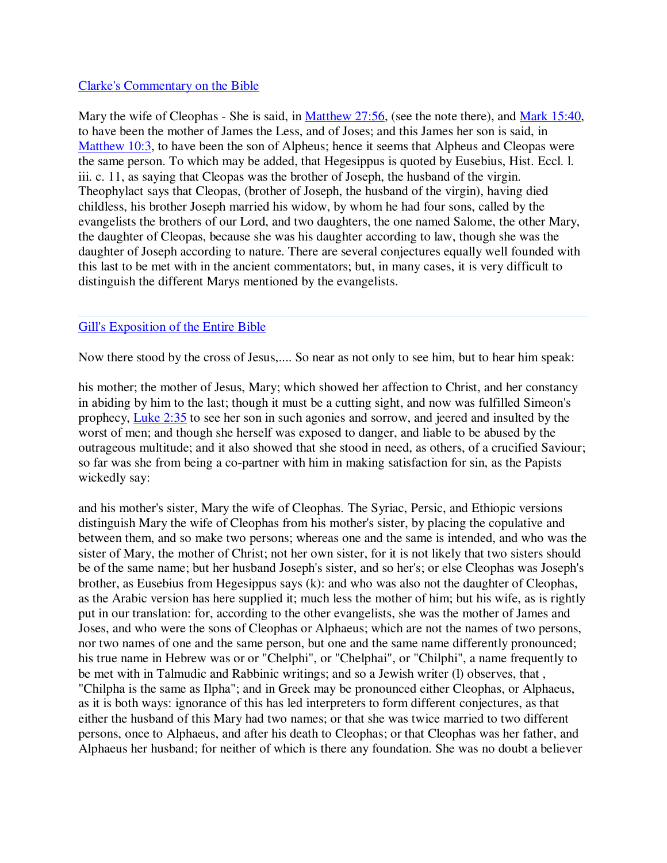#### Clarke's Commentary on the Bible

Mary the wife of Cleophas - She is said, in Matthew 27:56, (see the note there), and Mark 15:40, to have been the mother of James the Less, and of Joses; and this James her son is said, in Matthew 10:3, to have been the son of Alpheus; hence it seems that Alpheus and Cleopas were the same person. To which may be added, that Hegesippus is quoted by Eusebius, Hist. Eccl. l. iii. c. 11, as saying that Cleopas was the brother of Joseph, the husband of the virgin. Theophylact says that Cleopas, (brother of Joseph, the husband of the virgin), having died childless, his brother Joseph married his widow, by whom he had four sons, called by the evangelists the brothers of our Lord, and two daughters, the one named Salome, the other Mary, the daughter of Cleopas, because she was his daughter according to law, though she was the daughter of Joseph according to nature. There are several conjectures equally well founded with this last to be met with in the ancient commentators; but, in many cases, it is very difficult to distinguish the different Marys mentioned by the evangelists.

# Gill's Exposition of the Entire Bible

Now there stood by the cross of Jesus,.... So near as not only to see him, but to hear him speak:

his mother; the mother of Jesus, Mary; which showed her affection to Christ, and her constancy in abiding by him to the last; though it must be a cutting sight, and now was fulfilled Simeon's prophecy, Luke 2:35 to see her son in such agonies and sorrow, and jeered and insulted by the worst of men; and though she herself was exposed to danger, and liable to be abused by the outrageous multitude; and it also showed that she stood in need, as others, of a crucified Saviour; so far was she from being a co-partner with him in making satisfaction for sin, as the Papists wickedly say:

and his mother's sister, Mary the wife of Cleophas. The Syriac, Persic, and Ethiopic versions distinguish Mary the wife of Cleophas from his mother's sister, by placing the copulative and between them, and so make two persons; whereas one and the same is intended, and who was the sister of Mary, the mother of Christ; not her own sister, for it is not likely that two sisters should be of the same name; but her husband Joseph's sister, and so her's; or else Cleophas was Joseph's brother, as Eusebius from Hegesippus says (k): and who was also not the daughter of Cleophas, as the Arabic version has here supplied it; much less the mother of him; but his wife, as is rightly put in our translation: for, according to the other evangelists, she was the mother of James and Joses, and who were the sons of Cleophas or Alphaeus; which are not the names of two persons, nor two names of one and the same person, but one and the same name differently pronounced; his true name in Hebrew was or or "Chelphi", or "Chelphai", or "Chilphi", a name frequently to be met with in Talmudic and Rabbinic writings; and so a Jewish writer (l) observes, that , "Chilpha is the same as Ilpha"; and in Greek may be pronounced either Cleophas, or Alphaeus, as it is both ways: ignorance of this has led interpreters to form different conjectures, as that either the husband of this Mary had two names; or that she was twice married to two different persons, once to Alphaeus, and after his death to Cleophas; or that Cleophas was her father, and Alphaeus her husband; for neither of which is there any foundation. She was no doubt a believer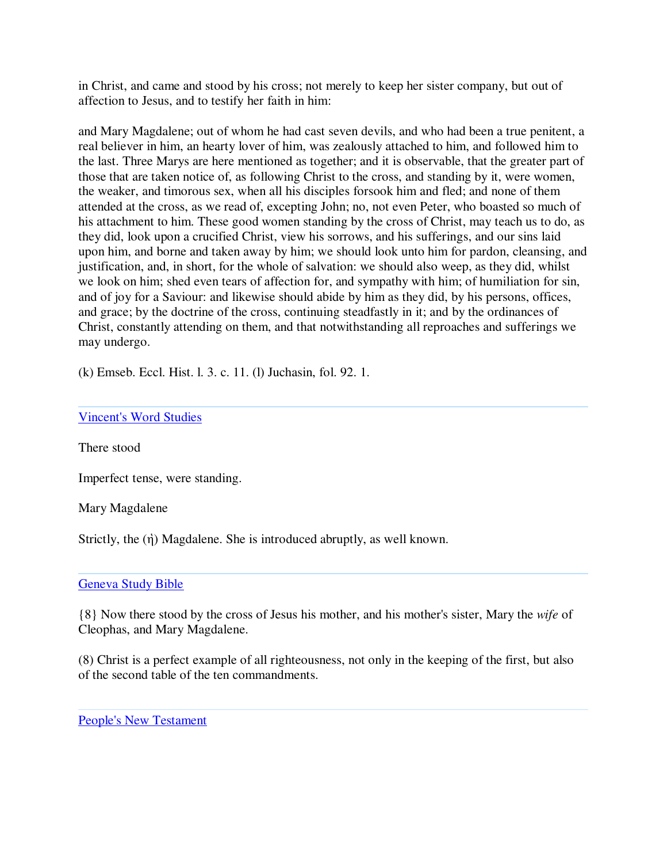in Christ, and came and stood by his cross; not merely to keep her sister company, but out of affection to Jesus, and to testify her faith in him:

and Mary Magdalene; out of whom he had cast seven devils, and who had been a true penitent, a real believer in him, an hearty lover of him, was zealously attached to him, and followed him to the last. Three Marys are here mentioned as together; and it is observable, that the greater part of those that are taken notice of, as following Christ to the cross, and standing by it, were women, the weaker, and timorous sex, when all his disciples forsook him and fled; and none of them attended at the cross, as we read of, excepting John; no, not even Peter, who boasted so much of his attachment to him. These good women standing by the cross of Christ, may teach us to do, as they did, look upon a crucified Christ, view his sorrows, and his sufferings, and our sins laid upon him, and borne and taken away by him; we should look unto him for pardon, cleansing, and justification, and, in short, for the whole of salvation: we should also weep, as they did, whilst we look on him; shed even tears of affection for, and sympathy with him; of humiliation for sin, and of joy for a Saviour: and likewise should abide by him as they did, by his persons, offices, and grace; by the doctrine of the cross, continuing steadfastly in it; and by the ordinances of Christ, constantly attending on them, and that notwithstanding all reproaches and sufferings we may undergo.

(k) Emseb. Eccl. Hist. l. 3. c. 11. (l) Juchasin, fol. 92. 1.

### Vincent's Word Studies

There stood

Imperfect tense, were standing.

Mary Magdalene

Strictly, the (η) Magdalene. She is introduced abruptly, as well known.

### Geneva Study Bible

{8} Now there stood by the cross of Jesus his mother, and his mother's sister, Mary the *wife* of Cleophas, and Mary Magdalene.

(8) Christ is a perfect example of all righteousness, not only in the keeping of the first, but also of the second table of the ten commandments.

People's New Testament